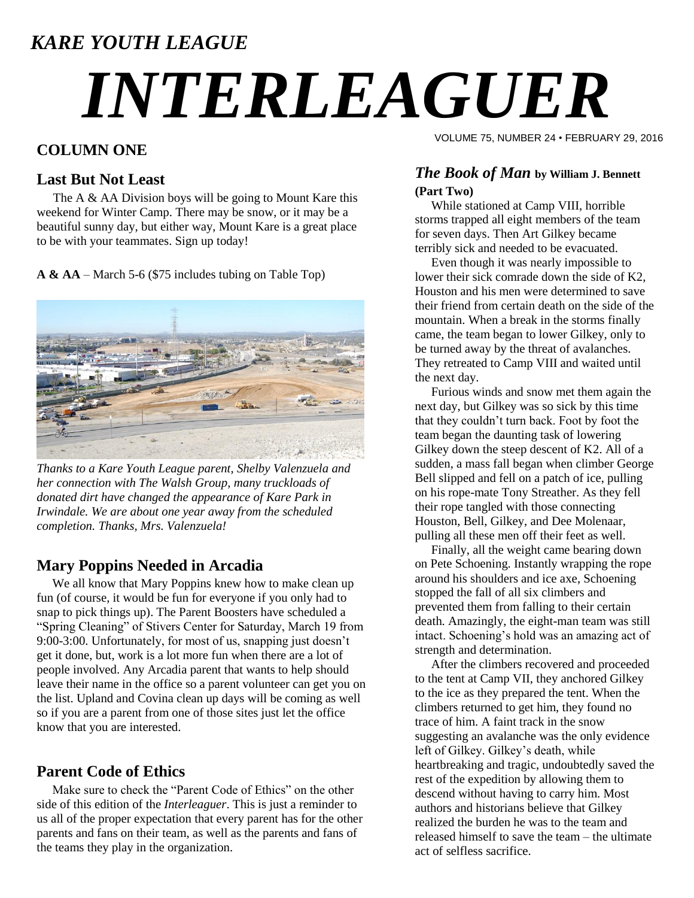### *KARE YOUTH LEAGUE*

# *INTERLEAGUER*

#### **COLUMN ONE**

#### **Last But Not Least**

The A  $\&$  AA Division boys will be going to Mount Kare this weekend for Winter Camp. There may be snow, or it may be a beautiful sunny day, but either way, Mount Kare is a great place to be with your teammates. Sign up today!

**A & AA** – March 5-6 (\$75 includes tubing on Table Top)



*Thanks to a Kare Youth League parent, Shelby Valenzuela and her connection with The Walsh Group, many truckloads of donated dirt have changed the appearance of Kare Park in Irwindale. We are about one year away from the scheduled completion. Thanks, Mrs. Valenzuela!*

#### **Mary Poppins Needed in Arcadia**

We all know that Mary Poppins knew how to make clean up fun (of course, it would be fun for everyone if you only had to snap to pick things up). The Parent Boosters have scheduled a "Spring Cleaning" of Stivers Center for Saturday, March 19 from 9:00-3:00. Unfortunately, for most of us, snapping just doesn"t get it done, but, work is a lot more fun when there are a lot of people involved. Any Arcadia parent that wants to help should leave their name in the office so a parent volunteer can get you on the list. Upland and Covina clean up days will be coming as well so if you are a parent from one of those sites just let the office know that you are interested.

#### **Parent Code of Ethics**

 Make sure to check the "Parent Code of Ethics" on the other side of this edition of the *Interleaguer*. This is just a reminder to us all of the proper expectation that every parent has for the other parents and fans on their team, as well as the parents and fans of the teams they play in the organization.

VOLUME 75, NUMBER 24 • FEBRUARY 29, 2016

#### *The Book of Man* **by William J. Bennett (Part Two)**

While stationed at Camp VIII, horrible storms trapped all eight members of the team for seven days. Then Art Gilkey became terribly sick and needed to be evacuated.

Even though it was nearly impossible to lower their sick comrade down the side of K2, Houston and his men were determined to save their friend from certain death on the side of the mountain. When a break in the storms finally came, the team began to lower Gilkey, only to be turned away by the threat of avalanches. They retreated to Camp VIII and waited until the next day.

Furious winds and snow met them again the next day, but Gilkey was so sick by this time that they couldn"t turn back. Foot by foot the team began the daunting task of lowering Gilkey down the steep descent of K2. All of a sudden, a mass fall began when climber George Bell slipped and fell on a patch of ice, pulling on his rope-mate Tony Streather. As they fell their rope tangled with those connecting Houston, Bell, Gilkey, and Dee Molenaar, pulling all these men off their feet as well.

Finally, all the weight came bearing down on Pete Schoening. Instantly wrapping the rope around his shoulders and ice axe, Schoening stopped the fall of all six climbers and prevented them from falling to their certain death. Amazingly, the eight-man team was still intact. Schoening"s hold was an amazing act of strength and determination.

After the climbers recovered and proceeded to the tent at Camp VII, they anchored Gilkey to the ice as they prepared the tent. When the climbers returned to get him, they found no trace of him. A faint track in the snow suggesting an avalanche was the only evidence left of Gilkey. Gilkey"s death, while heartbreaking and tragic, undoubtedly saved the rest of the expedition by allowing them to descend without having to carry him. Most authors and historians believe that Gilkey realized the burden he was to the team and released himself to save the team – the ultimate act of selfless sacrifice.